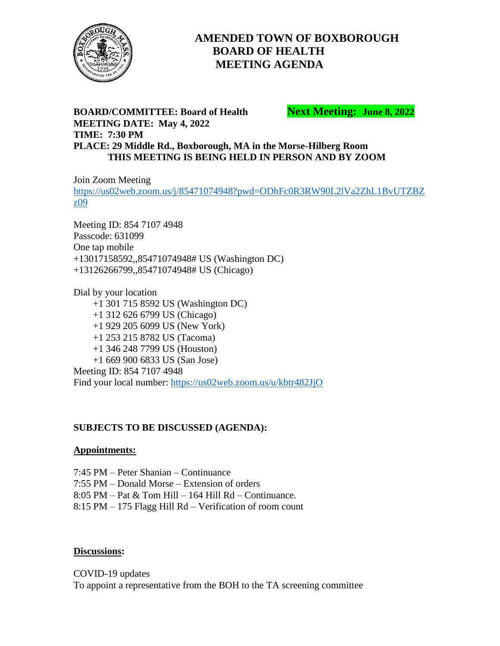

# **AMENDED TOWN OF BOXBOROUGH BOARD OF HEALTH MEETING AGENDA**

### **BOARD/COMMITTEE: Board of Health Next Meeting: June 8, 2022 MEETING DATE: May 4, 2022 TIME: 7:30 PM PLACE: 29 Middle Rd., Boxborough, MA in the Morse-Hilberg Room THIS MEETING IS BEING HELD IN PERSON AND BY ZOOM**

Join Zoom Meeting [https://us02web.zoom.us/j/85471074948?pwd=ODhFc0R3RW90L2lVa2ZhL1BvUTZBZ](https://us02web.zoom.us/j/85471074948?pwd=ODhFc0R3RW90L2lVa2ZhL1BvUTZBZz09) [z09](https://us02web.zoom.us/j/85471074948?pwd=ODhFc0R3RW90L2lVa2ZhL1BvUTZBZz09)

Meeting ID: 854 7107 4948 Passcode: 631099 One tap mobile +13017158592,,85471074948# US (Washington DC) +13126266799,,85471074948# US (Chicago)

Dial by your location +1 301 715 8592 US (Washington DC) +1 312 626 6799 US (Chicago) +1 929 205 6099 US (New York) +1 253 215 8782 US (Tacoma) +1 346 248 7799 US (Houston) +1 669 900 6833 US (San Jose) Meeting ID: 854 7107 4948 Find your local number:<https://us02web.zoom.us/u/kbtr482JjO>

#### **SUBJECTS TO BE DISCUSSED (AGENDA):**

#### **Appointments:**

7:45 PM – Peter Shanian – Continuance

7:55 PM – Donald Morse – Extension of orders

8:05 PM – Pat & Tom Hill – 164 Hill Rd – Continuance.

8:15 PM – 175 Flagg Hill Rd – Verification of room count

#### **Discussions:**

COVID-19 updates To appoint a representative from the BOH to the TA screening committee